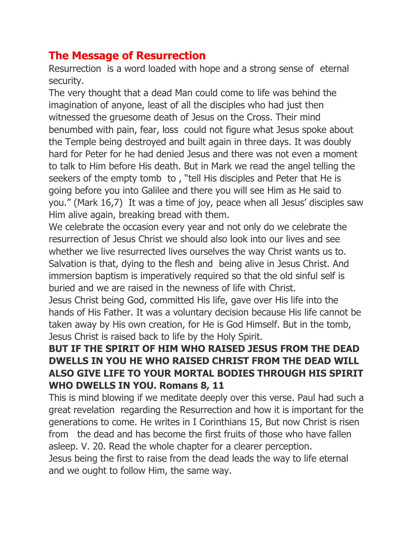## **The Message of Resurrection**

Resurrection is a word loaded with hope and a strong sense of eternal security.

The very thought that a dead Man could come to life was behind the imagination of anyone, least of all the disciples who had just then witnessed the gruesome death of Jesus on the Cross. Their mind benumbed with pain, fear, loss could not figure what Jesus spoke about the Temple being destroyed and built again in three days. It was doubly hard for Peter for he had denied Jesus and there was not even a moment to talk to Him before His death. But in Mark we read the angel telling the seekers of the empty tomb to , "tell His disciples and Peter that He is going before you into Galilee and there you will see Him as He said to you." (Mark 16,7) It was a time of joy, peace when all Jesus' disciples saw Him alive again, breaking bread with them.

We celebrate the occasion every year and not only do we celebrate the resurrection of Jesus Christ we should also look into our lives and see whether we live resurrected lives ourselves the way Christ wants us to. Salvation is that, dying to the flesh and being alive in Jesus Christ. And immersion baptism is imperatively required so that the old sinful self is buried and we are raised in the newness of life with Christ.

Jesus Christ being God, committed His life, gave over His life into the hands of His Father. It was a voluntary decision because His life cannot be taken away by His own creation, for He is God Himself. But in the tomb, Jesus Christ is raised back to life by the Holy Spirit.

## **BUT IF THE SPIRIT OF HIM WHO RAISED JESUS FROM THE DEAD DWELLS IN YOU HE WHO RAISED CHRIST FROM THE DEAD WILL ALSO GIVE LIFE TO YOUR MORTAL BODIES THROUGH HIS SPIRIT WHO DWELLS IN YOU. Romans 8, 11**

This is mind blowing if we meditate deeply over this verse. Paul had such a great revelation regarding the Resurrection and how it is important for the generations to come. He writes in I Corinthians 15, But now Christ is risen from the dead and has become the first fruits of those who have fallen asleep. V. 20. Read the whole chapter for a clearer perception. Jesus being the first to raise from the dead leads the way to life eternal and we ought to follow Him, the same way.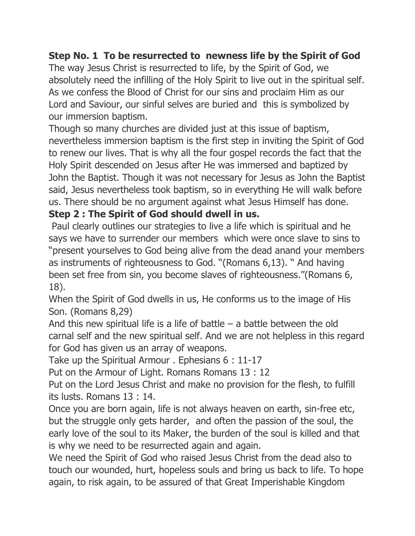## **Step No. 1 To be resurrected to newness life by the Spirit of God**

The way Jesus Christ is resurrected to life, by the Spirit of God, we absolutely need the infilling of the Holy Spirit to live out in the spiritual self. As we confess the Blood of Christ for our sins and proclaim Him as our Lord and Saviour, our sinful selves are buried and this is symbolized by our immersion baptism.

Though so many churches are divided just at this issue of baptism, nevertheless immersion baptism is the first step in inviting the Spirit of God to renew our lives. That is why all the four gospel records the fact that the Holy Spirit descended on Jesus after He was immersed and baptized by John the Baptist. Though it was not necessary for Jesus as John the Baptist said, Jesus nevertheless took baptism, so in everything He will walk before us. There should be no argument against what Jesus Himself has done.

## **Step 2 : The Spirit of God should dwell in us.**

Paul clearly outlines our strategies to live a life which is spiritual and he says we have to surrender our members which were once slave to sins to "present yourselves to God being alive from the dead anand your members as instruments of righteousness to God. "(Romans 6,13). " And having been set free from sin, you become slaves of righteousness."(Romans 6, 18).

When the Spirit of God dwells in us, He conforms us to the image of His Son. (Romans 8,29)

And this new spiritual life is a life of battle  $-$  a battle between the old carnal self and the new spiritual self. And we are not helpless in this regard for God has given us an array of weapons.

Take up the Spiritual Armour . Ephesians 6 : 11-17

Put on the Armour of Light. Romans Romans 13 : 12

Put on the Lord Jesus Christ and make no provision for the flesh, to fulfill its lusts. Romans 13 : 14.

Once you are born again, life is not always heaven on earth, sin-free etc, but the struggle only gets harder, and often the passion of the soul, the early love of the soul to its Maker, the burden of the soul is killed and that is why we need to be resurrected again and again.

We need the Spirit of God who raised Jesus Christ from the dead also to touch our wounded, hurt, hopeless souls and bring us back to life. To hope again, to risk again, to be assured of that Great Imperishable Kingdom